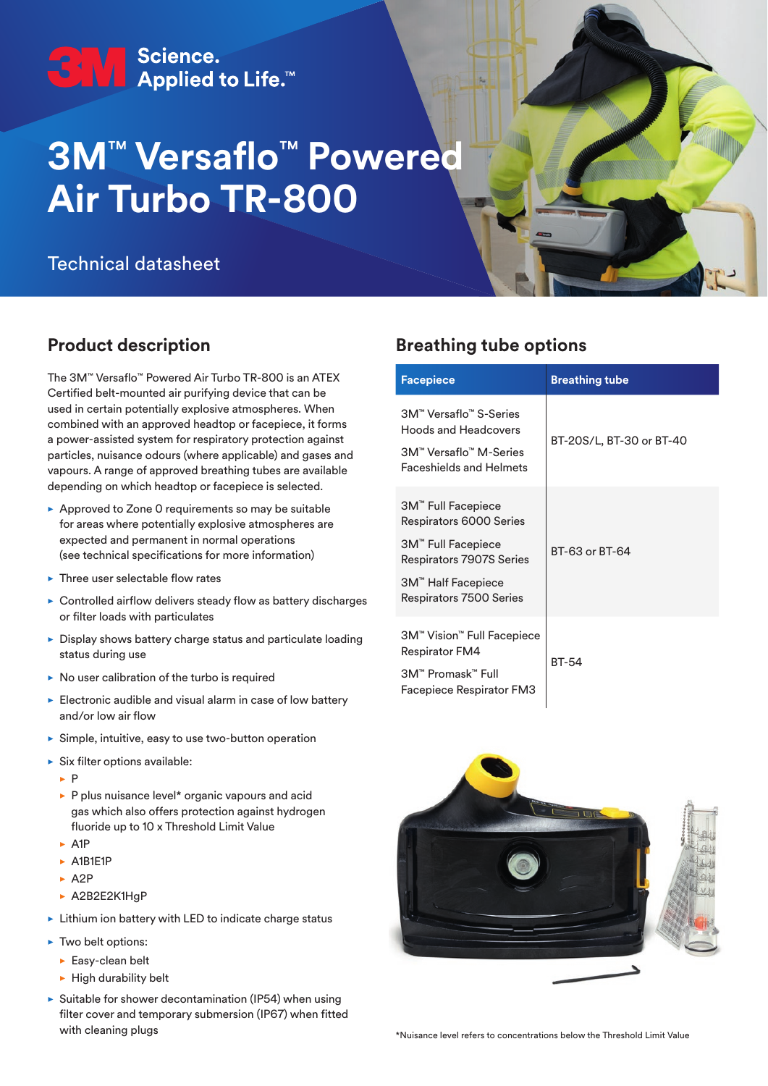# C | V Science.<br>■ Applied to Life.™

## **3M**™ **Versaflo**™ **Powered Air Turbo TR‑800**

## Technical datasheet

## **Product description**

The 3M™ Versaflo™ Powered Air Turbo TR-800 is an ATEX Certified belt-mounted air purifying device that can be used in certain potentially explosive atmospheres. When combined with an approved headtop or facepiece, it forms a power-assisted system for respiratory protection against particles, nuisance odours (where applicable) and gases and vapours. A range of approved breathing tubes are available depending on which headtop or facepiece is selected.

- $\triangleright$  Approved to Zone 0 requirements so may be suitable for areas where potentially explosive atmospheres are expected and permanent in normal operations (see technical specifications for more information)
- $\blacktriangleright$  Three user selectable flow rates
- $\triangleright$  Controlled airflow delivers steady flow as battery discharges or filter loads with particulates
- $\triangleright$  Display shows battery charge status and particulate loading status during use
- $\triangleright$  No user calibration of the turbo is required
- $\blacktriangleright$  Electronic audible and visual alarm in case of low battery and/or low air flow
- $\triangleright$  Simple, intuitive, easy to use two-button operation
- $\blacktriangleright$  Six filter options available:
	- $\triangleright$  P
	- $\blacktriangleright$  P plus nuisance level\* organic vapours and acid gas which also offers protection against hydrogen fluoride up to 10 x Threshold Limit Value
	- $\triangleright$  A1P
	- $\triangleright$  A1B1E1P
	- $\triangleright$  A2P
	- ▶ A2B2E2K1HgP
- $\triangleright$  Lithium ion battery with LED to indicate charge status
- $\blacktriangleright$  Two belt options:
	- $\blacktriangleright$  Easy-clean belt
	- $\blacktriangleright$  High durability belt
- $\triangleright$  Suitable for shower decontamination (IP54) when using filter cover and temporary submersion (IP67) when fitted with cleaning plugs

## **Breathing tube options**

| <b>Facepiece</b>                                                                                                                                             | <b>Breathing tube</b>    |
|--------------------------------------------------------------------------------------------------------------------------------------------------------------|--------------------------|
| 3M™ Versaflo™ S-Series<br><b>Hoods and Headcovers</b><br>3M™ Versaflo™ M-Series<br><b>Faceshields and Helmets</b>                                            | BT-20S/L, BT-30 or BT-40 |
| 3M™ Full Facepiece<br>Respirators 6000 Series<br>3M <sup>"</sup> Full Facepiece<br>Respirators 7907S Series<br>3M™ Half Facepiece<br>Respirators 7500 Series | BT-63 or BT-64           |
| 3M™ Vision™ Full Facepiece<br>Respirator FM4<br>3M™ Promask™ Full<br>Facepiece Respirator FM3                                                                | <b>BT-54</b>             |

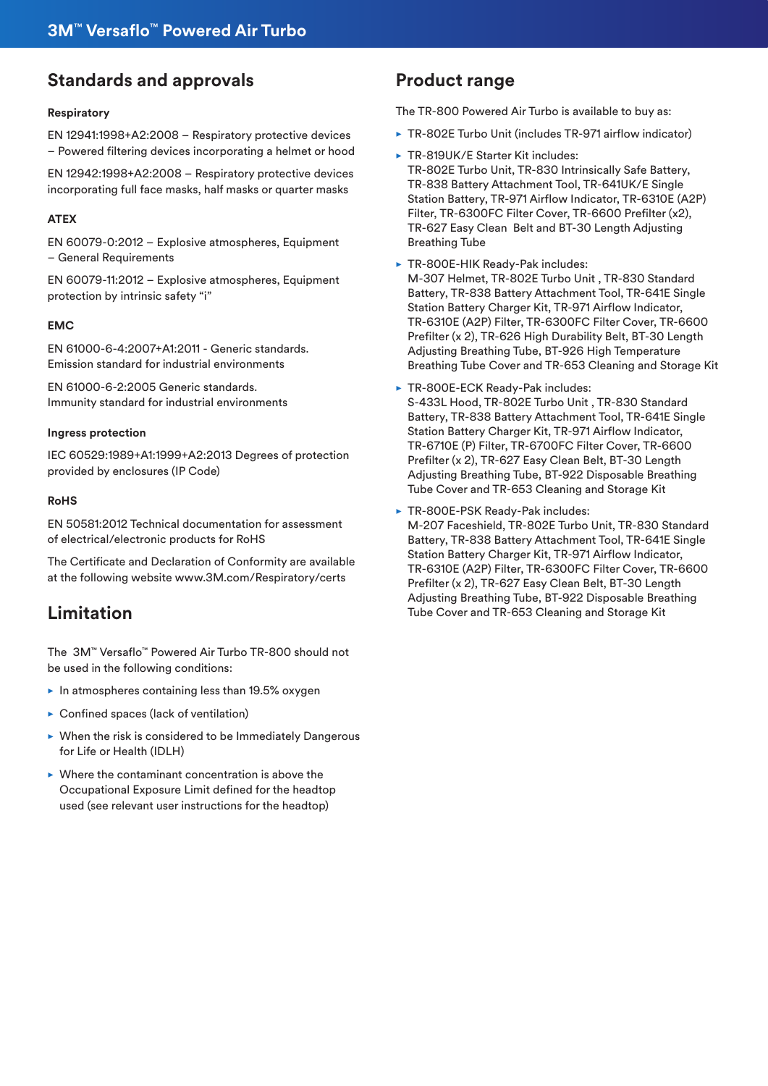## **Standards and approvals**

#### **Respiratory**

EN 12941:1998+A2:2008 – Respiratory protective devices – Powered filtering devices incorporating a helmet or hood

EN 12942:1998+A2:2008 – Respiratory protective devices incorporating full face masks, half masks or quarter masks

#### **ATEX**

EN 60079-0:2012 – Explosive atmospheres, Equipment – General Requirements

EN 60079-11:2012 – Explosive atmospheres, Equipment protection by intrinsic safety "i"

#### **EMC**

EN 61000-6-4:2007+A1:2011 - Generic standards. Emission standard for industrial environments

EN 61000-6-2:2005 Generic standards. Immunity standard for industrial environments

#### **Ingress protection**

IEC 60529:1989+A1:1999+A2:2013 Degrees of protection provided by enclosures (IP Code)

#### **RoHS**

EN 50581:2012 Technical documentation for assessment of electrical/electronic products for RoHS

The Certificate and Declaration of Conformity are available at the following website www.3M.com/Respiratory/certs

## **Limitation**

The 3M™ Versaflo™ Powered Air Turbo TR-800 should not be used in the following conditions:

- $\blacktriangleright$  In atmospheres containing less than 19.5% oxygen
- $\triangleright$  Confined spaces (lack of ventilation)
- $\blacktriangleright$  When the risk is considered to be Immediately Dangerous for Life or Health (IDLH)
- $\triangleright$  Where the contaminant concentration is above the Occupational Exposure Limit defined for the headtop used (see relevant user instructions for the headtop)

### **Product range**

The TR-800 Powered Air Turbo is available to buy as:

- ▶ TR-802E Turbo Unit (includes TR-971 airflow indicator)
- ▶ TR-819UK/E Starter Kit includes: TR-802E Turbo Unit, TR-830 Intrinsically Safe Battery, TR-838 Battery Attachment Tool, TR-641UK/E Single Station Battery, TR-971 Airflow Indicator, TR-6310E (A2P) Filter, TR-6300FC Filter Cover, TR-6600 Prefilter (x2), TR-627 Easy Clean Belt and BT-30 Length Adjusting Breathing Tube
- ▶ TR-800E-HIK Ready-Pak includes: M-307 Helmet, TR-802E Turbo Unit , TR-830 Standard Battery, TR-838 Battery Attachment Tool, TR-641E Single Station Battery Charger Kit, TR-971 Airflow Indicator, TR-6310E (A2P) Filter, TR-6300FC Filter Cover, TR-6600 Prefilter (x 2), TR-626 High Durability Belt, BT-30 Length Adjusting Breathing Tube, BT-926 High Temperature Breathing Tube Cover and TR-653 Cleaning and Storage Kit
- ▶ TR-800E-ECK Ready-Pak includes:
- S-433L Hood, TR-802E Turbo Unit , TR-830 Standard Battery, TR-838 Battery Attachment Tool, TR-641E Single Station Battery Charger Kit, TR-971 Airflow Indicator, TR-6710E (P) Filter, TR-6700FC Filter Cover, TR-6600 Prefilter (x 2), TR-627 Easy Clean Belt, BT-30 Length Adjusting Breathing Tube, BT-922 Disposable Breathing Tube Cover and TR-653 Cleaning and Storage Kit
- ▶ TR-800E-PSK Ready-Pak includes: M-207 Faceshield, TR-802E Turbo Unit, TR-830 Standard Battery, TR-838 Battery Attachment Tool, TR-641E Single Station Battery Charger Kit, TR-971 Airflow Indicator, TR-6310E (A2P) Filter, TR-6300FC Filter Cover, TR-6600 Prefilter (x 2), TR-627 Easy Clean Belt, BT-30 Length Adjusting Breathing Tube, BT-922 Disposable Breathing Tube Cover and TR-653 Cleaning and Storage Kit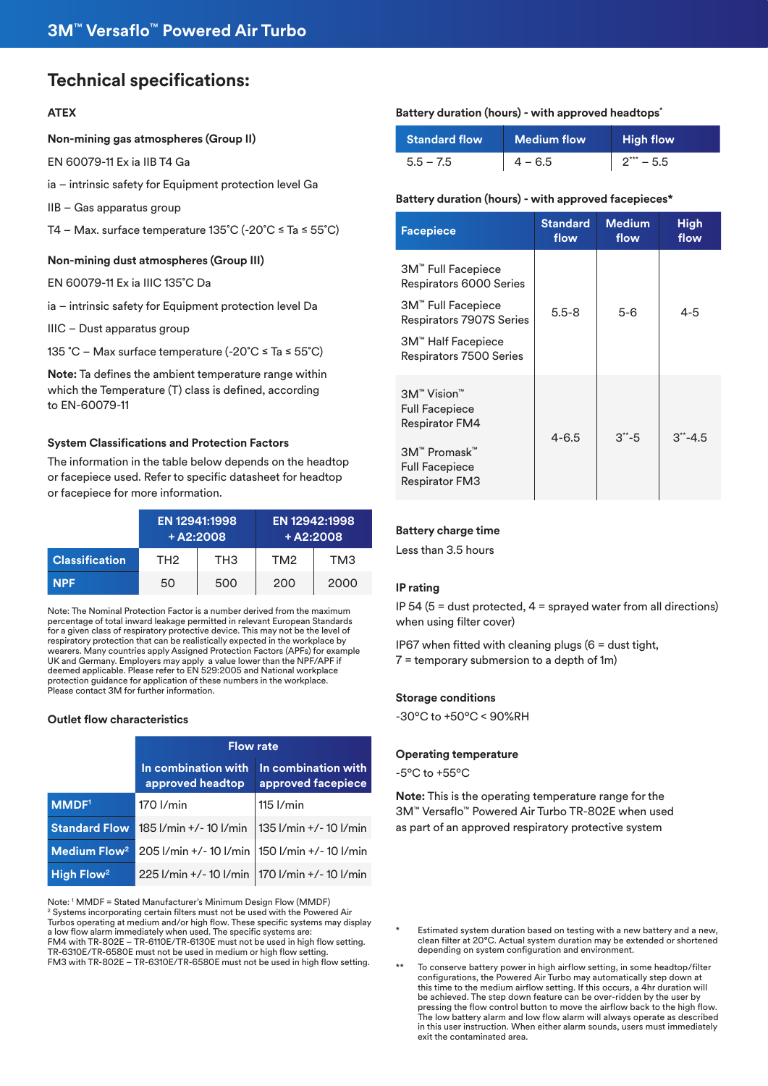## **Technical specifications:**

#### **ATEX**

#### **Non-mining gas atmospheres (Group II)**

EN 60079-11 Ex ia IIB T4 Ga

ia – intrinsic safety for Equipment protection level Ga

IIB – Gas apparatus group

T4 – Max. surface temperature 135˚C (-20˚C ≤ Ta ≤ 55˚C)

#### **Non-mining dust atmospheres (Group III)**

EN 60079-11 Ex ia IIIC 135˚C Da

ia – intrinsic safety for Equipment protection level Da

IIIC – Dust apparatus group

135 ˚C – Max surface temperature (-20˚C ≤ Ta ≤ 55˚C)

**Note:** Ta defines the ambient temperature range within which the Temperature (T) class is defined, according to EN-60079-11

#### **System Classifications and Protection Factors**

The information in the table below depends on the headtop or facepiece used. Refer to specific datasheet for headtop or facepiece for more information.

|                       | EN 12941:1998<br>$+ A2:2008$ |     |                 | EN 12942:1998<br>$+ A2:2008$ |
|-----------------------|------------------------------|-----|-----------------|------------------------------|
| <b>Classification</b> | TH <sub>2</sub>              | TH3 | TM <sub>2</sub> | TM3                          |
| <b>NPF</b>            | 50                           | 500 | 200             | 2000                         |

Note: The Nominal Protection Factor is a number derived from the maximum percentage of total inward leakage permitted in relevant European Standards for a given class of respiratory protective device. This may not be the level of respiratory protection that can be realistically expected in the workplace by wearers. Many countries apply Assigned Protection Factors (APFs) for example UK and Germany. Employers may apply a value lower than the NPF/APF if deemed applicable. Please refer to EN 529:2005 and National workplace protection guidance for application of these numbers in the workplace. Please contact 3M for further information.

#### **Outlet flow characteristics**

|                          | <b>Flow rate</b>                                |                                           |  |
|--------------------------|-------------------------------------------------|-------------------------------------------|--|
|                          | In combination with<br>approved headtop         | In combination with<br>approved facepiece |  |
| <b>MMDF1</b>             | 170 l/min                                       | $115$ $I/min$                             |  |
| <b>Standard Flow</b>     | 185 l/min +/-10 l/min                           | 135 l/min +/-10 l/min                     |  |
| Medium Flow <sup>2</sup> | 205 I/min +/- 10 I/min   150 I/min +/- 10 I/min |                                           |  |
| High Flow <sup>2</sup>   | 225 I/min +/- 10 I/min   170 I/min +/- 10 I/min |                                           |  |

Note: 1 MMDF = Stated Manufacturer's Minimum Design Flow (MMDF) <sup>2</sup> Systems incorporating certain filters must not be used with the Powered Air Turbos operating at medium and/or high flow. These specific systems may display a low flow alarm immediately when used. The specific systems are: FM4 with TR-802E – TR-6110E/TR-6130E must not be used in high flow setting. TR-6310E/TR-6580E must not be used in medium or high flow setting. FM3 with TR-802E – TR-6310E/TR-6580E must not be used in high flow setting.

#### **Battery duration (hours) - with approved headtops\***

| <b>Standard flow</b> | <b>Medium flow</b> | <b>High flow</b> |
|----------------------|--------------------|------------------|
| $5.5 - 7.5$          | $4 - 6.5$          | $2*** - 5.5$     |

#### **Battery duration (hours) - with approved facepieces\***

| <b>Facepiece</b>                                                                                                                  | <b>Standard</b><br>flow | <b>Medium</b><br>flow | <b>High</b><br>flow |
|-----------------------------------------------------------------------------------------------------------------------------------|-------------------------|-----------------------|---------------------|
| 3M <sup>"</sup> Full Facepiece<br>Respirators 6000 Series<br>3M™ Full Facepiece<br>Respirators 7907S Series<br>3M™ Half Facepiece | $5.5 - 8$               | $5 - 6$               | 4-5                 |
| Respirators 7500 Series                                                                                                           |                         |                       |                     |
| 3M <sup>™</sup> Vision <sup>™</sup><br><b>Full Facepiece</b><br><b>Respirator FM4</b><br>3M™ Promask™                             | $4 - 6.5$               | $3^{**} - 5$          | $3^{**} - 4.5$      |
| <b>Full Facepiece</b><br><b>Respirator FM3</b>                                                                                    |                         |                       |                     |

#### **Battery charge time**

Less than 3.5 hours

#### **IP rating**

IP 54 (5 = dust protected,  $4 =$  sprayed water from all directions) when using filter cover)

IP67 when fitted with cleaning plugs  $(6 =$  dust tight, 7 = temporary submersion to a depth of 1m)

#### **Storage conditions**

-30ºC to +50ºC < 90%RH

#### **Operating temperature**

-5ºC to +55ºC

**Note:** This is the operating temperature range for the 3M™ Versaflo™ Powered Air Turbo TR-802E when used as part of an approved respiratory protective system

- Estimated system duration based on testing with a new battery and a new, clean filter at 20°C. Actual system duration may be extended or shortened depending on system configuration and environment.
- To conserve battery power in high airflow setting, in some headtop/filter configurations, the Powered Air Turbo may automatically step down at this time to the medium airflow setting. If this occurs, a 4hr duration will be achieved. The step down feature can be over-ridden by the user by pressing the flow control button to move the airflow back to the high flow. The low battery alarm and low flow alarm will always operate as described in this user instruction. When either alarm sounds, users must immediately exit the contaminated area.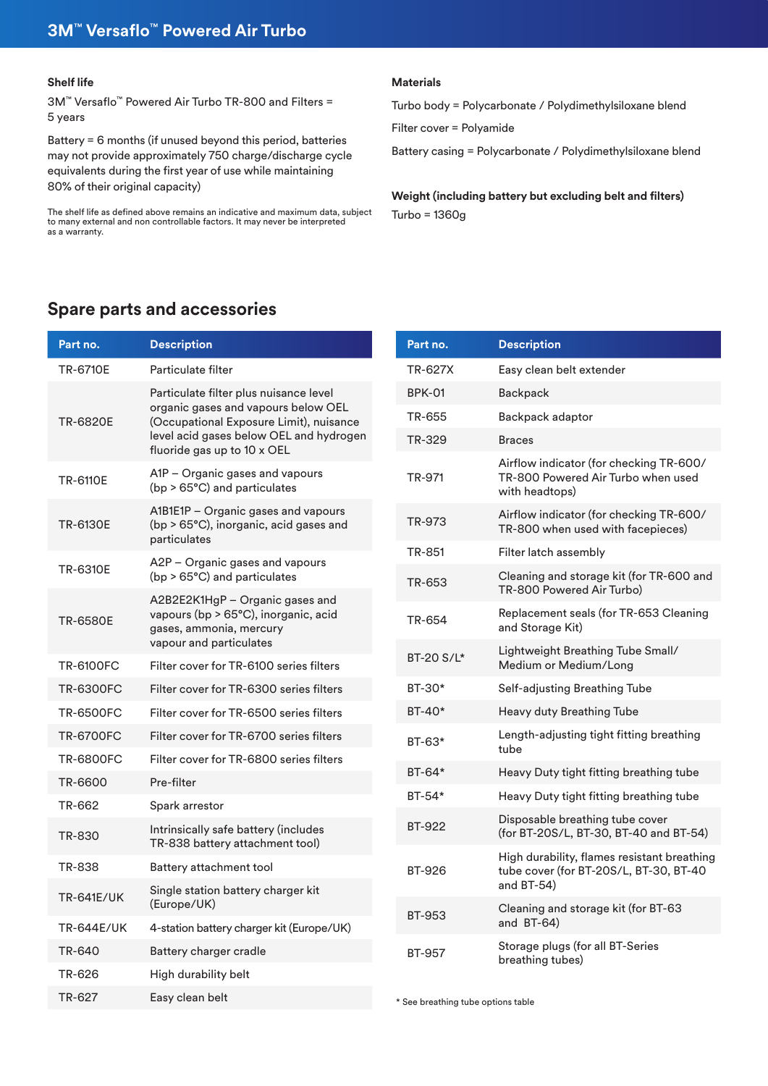#### **Shelf life**

3M™ Versaflo™ Powered Air Turbo TR-800 and Filters = 5 years

Battery = 6 months (if unused beyond this period, batteries may not provide approximately 750 charge/discharge cycle equivalents during the first year of use while maintaining 80% of their original capacity)

The shelf life as defined above remains an indicative and maximum data, subject to many external and non controllable factors. It may never be interpreted as a warranty.

#### **Materials**

Turbo body = Polycarbonate / Polydimethylsiloxane blend

Filter cover = Polyamide

Battery casing = Polycarbonate / Polydimethylsiloxane blend

**Weight (including battery but excluding belt and filters)** Turbo = 1360g

## **Spare parts and accessories**

| Part no.          | <b>Description</b>                                                                                                                                                                                 |
|-------------------|----------------------------------------------------------------------------------------------------------------------------------------------------------------------------------------------------|
| TR-6710E          | Particulate filter                                                                                                                                                                                 |
| <b>TR-6820E</b>   | Particulate filter plus nuisance level<br>organic gases and vapours below OEL<br>(Occupational Exposure Limit), nuisance<br>level acid gases below OEL and hydrogen<br>fluoride gas up to 10 x OEL |
| <b>TR-6110E</b>   | A1P – Organic gases and vapours<br>(bp > 65°C) and particulates                                                                                                                                    |
| <b>TR-6130E</b>   | A1B1E1P - Organic gases and vapours<br>(bp > 65°C), inorganic, acid gases and<br>particulates                                                                                                      |
| TR-6310E          | A2P - Organic gases and vapours<br>(bp > 65°C) and particulates                                                                                                                                    |
| TR-6580E          | A2B2E2K1HgP - Organic gases and<br>vapours (bp > 65°C), inorganic, acid<br>gases, ammonia, mercury<br>vapour and particulates                                                                      |
| <b>TR-6100FC</b>  | Filter cover for TR-6100 series filters                                                                                                                                                            |
| <b>TR-6300FC</b>  | Filter cover for TR-6300 series filters                                                                                                                                                            |
| <b>TR-6500FC</b>  | Filter cover for TR-6500 series filters                                                                                                                                                            |
| <b>TR-6700FC</b>  | Filter cover for TR-6700 series filters                                                                                                                                                            |
| <b>TR-6800FC</b>  | Filter cover for TR-6800 series filters                                                                                                                                                            |
| TR-6600           | Pre-filter                                                                                                                                                                                         |
| TR-662            | Spark arrestor                                                                                                                                                                                     |
| TR-830            | Intrinsically safe battery (includes<br>TR-838 battery attachment tool)                                                                                                                            |
| TR-838            | Battery attachment tool                                                                                                                                                                            |
| <b>TR-641E/UK</b> | Single station battery charger kit<br>(Europe/UK)                                                                                                                                                  |
| <b>TR-644E/UK</b> | 4-station battery charger kit (Europe/UK)                                                                                                                                                          |
| TR-640            | Battery charger cradle                                                                                                                                                                             |
| TR-626            | High durability belt                                                                                                                                                                               |
| TR-627            | Easy clean belt                                                                                                                                                                                    |

| Part no.      | <b>Description</b>                                                                                  |
|---------------|-----------------------------------------------------------------------------------------------------|
| TR-627X       | Easy clean belt extender                                                                            |
| <b>BPK-01</b> | Backpack                                                                                            |
| TR-655        | Backpack adaptor                                                                                    |
| TR-329        | <b>Braces</b>                                                                                       |
| TR-971        | Airflow indicator (for checking TR-600/<br>TR-800 Powered Air Turbo when used<br>with headtops)     |
| TR-973        | Airflow indicator (for checking TR-600/<br>TR-800 when used with facepieces)                        |
| TR-851        | Filter latch assembly                                                                               |
| TR-653        | Cleaning and storage kit (for TR-600 and<br>TR-800 Powered Air Turbo)                               |
| TR-654        | Replacement seals (for TR-653 Cleaning<br>and Storage Kit)                                          |
| BT-20 S/L*    | Lightweight Breathing Tube Small/<br>Medium or Medium/Long                                          |
| BT-30*        | Self-adjusting Breathing Tube                                                                       |
| BT-40*        | Heavy duty Breathing Tube                                                                           |
| BT-63*        | Length-adjusting tight fitting breathing<br>tube                                                    |
| BT-64*        | Heavy Duty tight fitting breathing tube                                                             |
| BT-54*        | Heavy Duty tight fitting breathing tube                                                             |
| BT-922        | Disposable breathing tube cover<br>(for BT-20S/L, BT-30, BT-40 and BT-54)                           |
| BT-926        | High durability, flames resistant breathing<br>tube cover (for BT-20S/L, BT-30, BT-40<br>and BT-54) |
| <b>BT-953</b> | Cleaning and storage kit (for BT-63<br>and BT-64)                                                   |
| BT-957        | Storage plugs (for all BT-Series<br>breathing tubes)                                                |

\* See breathing tube options table